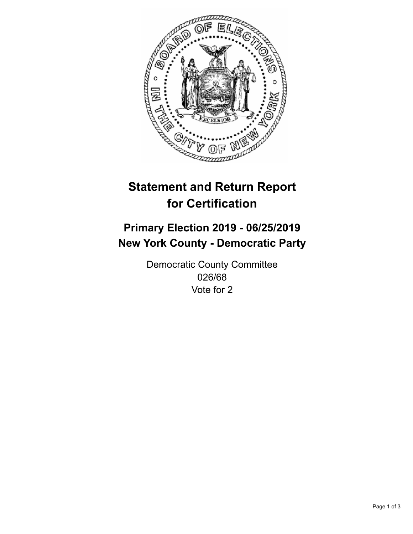

## **Statement and Return Report for Certification**

## **Primary Election 2019 - 06/25/2019 New York County - Democratic Party**

Democratic County Committee 026/68 Vote for 2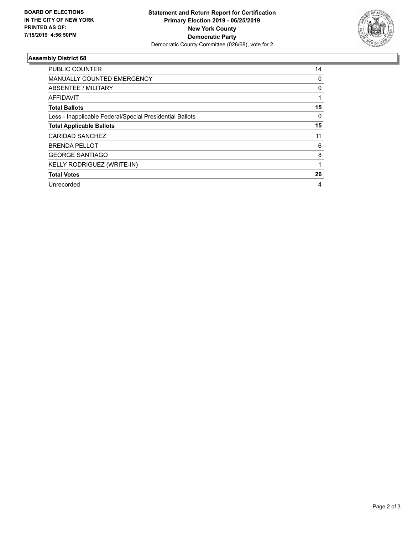

## **Assembly District 68**

| <b>PUBLIC COUNTER</b>                                    | 14 |
|----------------------------------------------------------|----|
| <b>MANUALLY COUNTED EMERGENCY</b>                        | 0  |
| ABSENTEE / MILITARY                                      | 0  |
| AFFIDAVIT                                                |    |
| <b>Total Ballots</b>                                     | 15 |
| Less - Inapplicable Federal/Special Presidential Ballots | 0  |
| <b>Total Applicable Ballots</b>                          | 15 |
| CARIDAD SANCHEZ                                          | 11 |
| <b>BRENDA PELLOT</b>                                     | 6  |
| <b>GEORGE SANTIAGO</b>                                   | 8  |
| KELLY RODRIGUEZ (WRITE-IN)                               |    |
| <b>Total Votes</b>                                       | 26 |
| Unrecorded                                               | 4  |